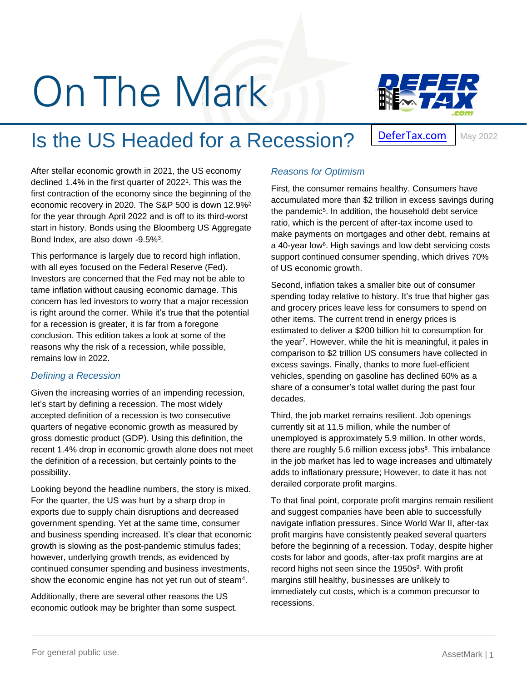# On The Mark



## Is the US Headed for a Recession?

[DeferTax.com](https://defertax.com/)

May 2022

After stellar economic growth in 2021, the US economy declined 1.4% in the first quarter of 2022<sup>1</sup> . This was the first contraction of the economy since the beginning of the economic recovery in 2020. The S&P 500 is down 12.9%<sup>2</sup> for the year through April 2022 and is off to its third-worst start in history. Bonds using the Bloomberg US Aggregate Bond Index, are also down -9.5%<sup>3</sup>.

This performance is largely due to record high inflation, with all eyes focused on the Federal Reserve (Fed). Investors are concerned that the Fed may not be able to tame inflation without causing economic damage. This concern has led investors to worry that a major recession is right around the corner. While it's true that the potential for a recession is greater, it is far from a foregone conclusion. This edition takes a look at some of the reasons why the risk of a recession, while possible, remains low in 2022.

#### *Defining a Recession*

Given the increasing worries of an impending recession, let's start by defining a recession. The most widely accepted definition of a recession is two consecutive quarters of negative economic growth as measured by gross domestic product (GDP). Using this definition, the recent 1.4% drop in economic growth alone does not meet the definition of a recession, but certainly points to the possibility.

Looking beyond the headline numbers, the story is mixed. For the quarter, the US was hurt by a sharp drop in exports due to supply chain disruptions and decreased government spending. Yet at the same time, consumer and business spending increased. It's clear that economic growth is slowing as the post-pandemic stimulus fades; however, underlying growth trends, as evidenced by continued consumer spending and business investments, show the economic engine has not yet run out of steam<sup>4</sup>.

Additionally, there are several other reasons the US economic outlook may be brighter than some suspect.

### *Reasons for Optimism*

First, the consumer remains healthy. Consumers have accumulated more than \$2 trillion in excess savings during the pandemic<sup>5</sup>. In addition, the household debt service ratio, which is the percent of after-tax income used to make payments on mortgages and other debt, remains at a 40-year low<sup>6</sup>. High savings and low debt servicing costs support continued consumer spending, which drives 70% of US economic growth.

Second, inflation takes a smaller bite out of consumer spending today relative to history. It's true that higher gas and grocery prices leave less for consumers to spend on other items. The current trend in energy prices is estimated to deliver a \$200 billion hit to consumption for the year<sup>7</sup>. However, while the hit is meaningful, it pales in comparison to \$2 trillion US consumers have collected in excess savings. Finally, thanks to more fuel-efficient vehicles, spending on gasoline has declined 60% as a share of a consumer's total wallet during the past four decades.

Third, the job market remains resilient. Job openings currently sit at 11.5 million, while the number of unemployed is approximately 5.9 million. In other words, there are roughly 5.6 million excess jobs<sup>8</sup>. This imbalance in the job market has led to wage increases and ultimately adds to inflationary pressure; However, to date it has not derailed corporate profit margins.

To that final point, corporate profit margins remain resilient and suggest companies have been able to successfully navigate inflation pressures. Since World War II, after-tax profit margins have consistently peaked several quarters before the beginning of a recession. Today, despite higher costs for labor and goods, after-tax profit margins are at record highs not seen since the 1950s<sup>9</sup>. With profit margins still healthy, businesses are unlikely to immediately cut costs, which is a common precursor to recessions.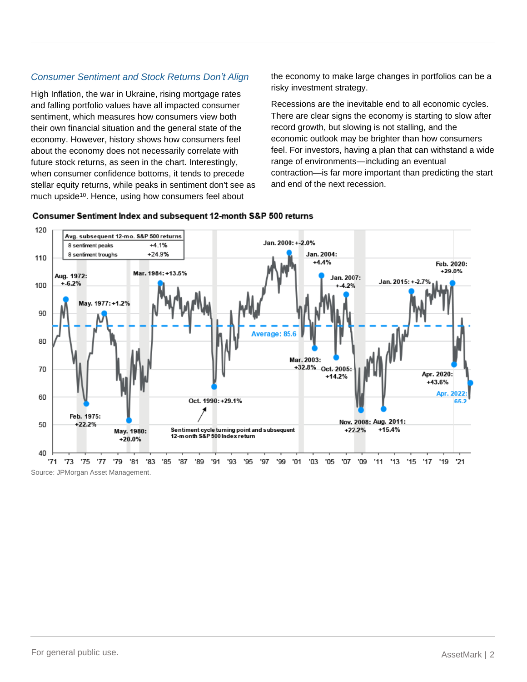#### *Consumer Sentiment and Stock Returns Don't Align*

High Inflation, the war in Ukraine, rising mortgage rates and falling portfolio values have all impacted consumer sentiment, which measures how consumers view both their own financial situation and the general state of the economy. However, history shows how consumers feel about the economy does not necessarily correlate with future stock returns, as seen in the chart. Interestingly, when consumer confidence bottoms, it tends to precede stellar equity returns, while peaks in sentiment don't see as much upside<sup>10</sup>. Hence, using how consumers feel about

the economy to make large changes in portfolios can be a risky investment strategy.

Recessions are the inevitable end to all economic cycles. There are clear signs the economy is starting to slow after record growth, but slowing is not stalling, and the economic outlook may be brighter than how consumers feel. For investors, having a plan that can withstand a wide range of environments—including an eventual contraction—is far more important than predicting the start and end of the next recession.



#### Consumer Sentiment Index and subsequent 12-month S&P 500 returns

Source: JPMorgan Asset Management.